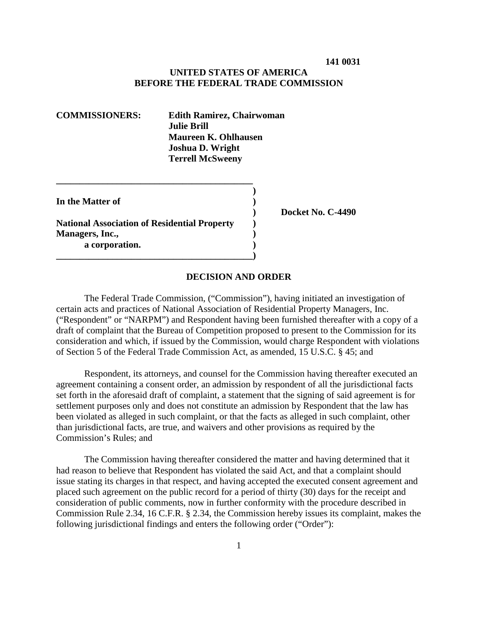## **UNITED STATES OF AMERICA BEFORE THE FEDERAL TRADE COMMISSION**

| <b>Edith Ramirez, Chairwoman</b> |
|----------------------------------|
| <b>Julie Brill</b>               |
| Maureen K. Ohlhausen             |
| <b>Joshua D. Wright</b>          |
| <b>Terrell McSweeny</b>          |
|                                  |

**In the Matter of )**

**National Association of Residential Property ) Managers, Inc., ) a corporation. )**

**\_\_\_\_\_\_\_\_\_\_\_\_\_\_\_\_\_\_\_\_\_\_\_\_\_\_\_\_\_\_\_\_\_\_\_\_\_\_\_\_\_\_)**

**\_\_\_\_\_\_\_\_\_\_\_\_\_\_\_\_\_\_\_\_\_\_\_\_\_\_\_\_\_\_\_\_\_\_\_\_\_\_\_\_\_\_**

**) Docket No. C-4490**

#### **DECISION AND ORDER**

**)**

The Federal Trade Commission, ("Commission"), having initiated an investigation of certain acts and practices of National Association of Residential Property Managers, Inc. ("Respondent" or "NARPM") and Respondent having been furnished thereafter with a copy of a draft of complaint that the Bureau of Competition proposed to present to the Commission for its consideration and which, if issued by the Commission, would charge Respondent with violations of Section 5 of the Federal Trade Commission Act, as amended, 15 U.S.C. § 45; and

Respondent, its attorneys, and counsel for the Commission having thereafter executed an agreement containing a consent order, an admission by respondent of all the jurisdictional facts set forth in the aforesaid draft of complaint, a statement that the signing of said agreement is for settlement purposes only and does not constitute an admission by Respondent that the law has been violated as alleged in such complaint, or that the facts as alleged in such complaint, other than jurisdictional facts, are true, and waivers and other provisions as required by the Commission's Rules; and

The Commission having thereafter considered the matter and having determined that it had reason to believe that Respondent has violated the said Act, and that a complaint should issue stating its charges in that respect, and having accepted the executed consent agreement and placed such agreement on the public record for a period of thirty (30) days for the receipt and consideration of public comments, now in further conformity with the procedure described in Commission Rule 2.34, 16 C.F.R. § 2.34, the Commission hereby issues its complaint, makes the following jurisdictional findings and enters the following order ("Order"):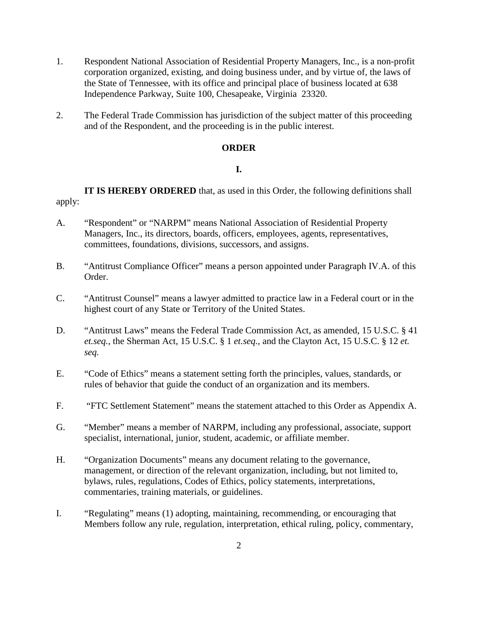- 1. Respondent National Association of Residential Property Managers, Inc., is a non-profit corporation organized, existing, and doing business under, and by virtue of, the laws of the State of Tennessee, with its office and principal place of business located at 638 Independence Parkway, Suite 100, Chesapeake, Virginia 23320.
- 2. The Federal Trade Commission has jurisdiction of the subject matter of this proceeding and of the Respondent, and the proceeding is in the public interest.

## **ORDER**

## **I.**

**IT IS HEREBY ORDERED** that, as used in this Order, the following definitions shall apply:

- A. "Respondent" or "NARPM" means National Association of Residential Property Managers, Inc., its directors, boards, officers, employees, agents, representatives, committees, foundations, divisions, successors, and assigns.
- B. "Antitrust Compliance Officer" means a person appointed under Paragraph IV.A. of this Order.
- C. "Antitrust Counsel" means a lawyer admitted to practice law in a Federal court or in the highest court of any State or Territory of the United States.
- D. "Antitrust Laws" means the Federal Trade Commission Act, as amended, 15 U.S.C. § 41 *et.seq.*, the Sherman Act, 15 U.S.C. § 1 *et.seq.*, and the Clayton Act, 15 U.S.C. § 12 *et. seq.*
- E. "Code of Ethics" means a statement setting forth the principles, values, standards, or rules of behavior that guide the conduct of an organization and its members.
- F. "FTC Settlement Statement" means the statement attached to this Order as Appendix A.
- G. "Member" means a member of NARPM, including any professional, associate, support specialist, international, junior, student, academic, or affiliate member.
- H. "Organization Documents" means any document relating to the governance, management, or direction of the relevant organization, including, but not limited to, bylaws, rules, regulations, Codes of Ethics, policy statements, interpretations, commentaries, training materials, or guidelines.
- I. "Regulating" means (1) adopting, maintaining, recommending, or encouraging that Members follow any rule, regulation, interpretation, ethical ruling, policy, commentary,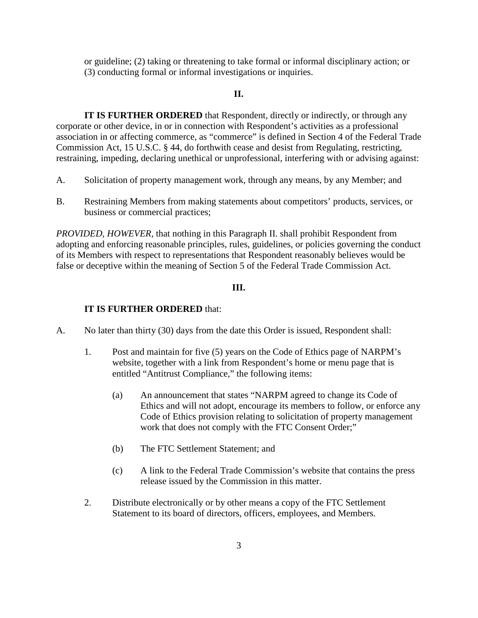or guideline; (2) taking or threatening to take formal or informal disciplinary action; or (3) conducting formal or informal investigations or inquiries.

#### **II.**

**IT IS FURTHER ORDERED** that Respondent, directly or indirectly, or through any corporate or other device, in or in connection with Respondent's activities as a professional association in or affecting commerce, as "commerce" is defined in Section 4 of the Federal Trade Commission Act, 15 U.S.C. § 44, do forthwith cease and desist from Regulating, restricting, restraining, impeding, declaring unethical or unprofessional, interfering with or advising against:

- A. Solicitation of property management work, through any means, by any Member; and
- B. Restraining Members from making statements about competitors' products, services, or business or commercial practices;

*PROVIDED, HOWEVER,* that nothing in this Paragraph II. shall prohibit Respondent from adopting and enforcing reasonable principles, rules, guidelines, or policies governing the conduct of its Members with respect to representations that Respondent reasonably believes would be false or deceptive within the meaning of Section 5 of the Federal Trade Commission Act.

## **III.**

## **IT IS FURTHER ORDERED** that:

- A. No later than thirty (30) days from the date this Order is issued, Respondent shall:
	- 1. Post and maintain for five (5) years on the Code of Ethics page of NARPM's website, together with a link from Respondent's home or menu page that is entitled "Antitrust Compliance," the following items:
		- (a) An announcement that states "NARPM agreed to change its Code of Ethics and will not adopt, encourage its members to follow, or enforce any Code of Ethics provision relating to solicitation of property management work that does not comply with the FTC Consent Order;"
		- (b) The FTC Settlement Statement; and
		- (c) A link to the Federal Trade Commission's website that contains the press release issued by the Commission in this matter.
	- 2. Distribute electronically or by other means a copy of the FTC Settlement Statement to its board of directors, officers, employees, and Members.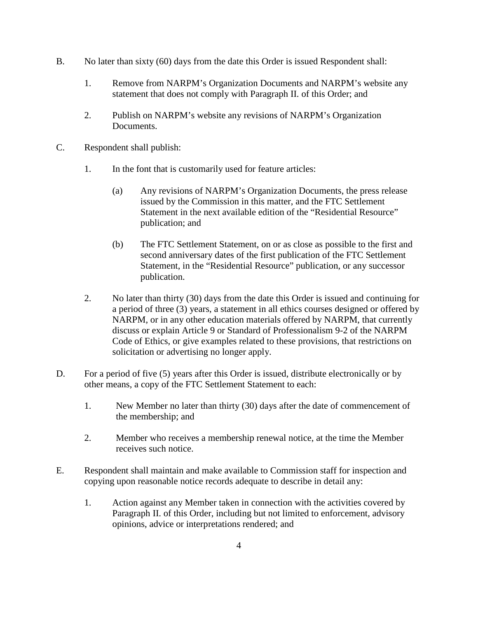- B. No later than sixty (60) days from the date this Order is issued Respondent shall:
	- 1. Remove from NARPM's Organization Documents and NARPM's website any statement that does not comply with Paragraph II. of this Order; and
	- 2. Publish on NARPM's website any revisions of NARPM's Organization Documents.
- C. Respondent shall publish:
	- 1. In the font that is customarily used for feature articles:
		- (a) Any revisions of NARPM's Organization Documents, the press release issued by the Commission in this matter, and the FTC Settlement Statement in the next available edition of the "Residential Resource" publication; and
		- (b) The FTC Settlement Statement, on or as close as possible to the first and second anniversary dates of the first publication of the FTC Settlement Statement, in the "Residential Resource" publication, or any successor publication.
	- 2. No later than thirty (30) days from the date this Order is issued and continuing for a period of three (3) years, a statement in all ethics courses designed or offered by NARPM, or in any other education materials offered by NARPM, that currently discuss or explain Article 9 or Standard of Professionalism 9-2 of the NARPM Code of Ethics, or give examples related to these provisions, that restrictions on solicitation or advertising no longer apply.
- D. For a period of five (5) years after this Order is issued, distribute electronically or by other means, a copy of the FTC Settlement Statement to each:
	- 1. New Member no later than thirty (30) days after the date of commencement of the membership; and
	- 2. Member who receives a membership renewal notice, at the time the Member receives such notice.
- E. Respondent shall maintain and make available to Commission staff for inspection and copying upon reasonable notice records adequate to describe in detail any:
	- 1. Action against any Member taken in connection with the activities covered by Paragraph II. of this Order, including but not limited to enforcement, advisory opinions, advice or interpretations rendered; and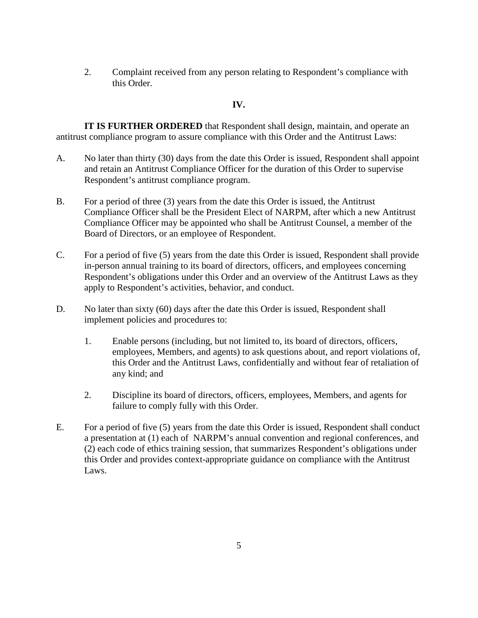2. Complaint received from any person relating to Respondent's compliance with this Order.

## **IV.**

**IT IS FURTHER ORDERED** that Respondent shall design, maintain, and operate an antitrust compliance program to assure compliance with this Order and the Antitrust Laws:

- A. No later than thirty (30) days from the date this Order is issued, Respondent shall appoint and retain an Antitrust Compliance Officer for the duration of this Order to supervise Respondent's antitrust compliance program.
- B. For a period of three (3) years from the date this Order is issued, the Antitrust Compliance Officer shall be the President Elect of NARPM, after which a new Antitrust Compliance Officer may be appointed who shall be Antitrust Counsel, a member of the Board of Directors, or an employee of Respondent.
- C. For a period of five (5) years from the date this Order is issued, Respondent shall provide in-person annual training to its board of directors, officers, and employees concerning Respondent's obligations under this Order and an overview of the Antitrust Laws as they apply to Respondent's activities, behavior, and conduct.
- D. No later than sixty (60) days after the date this Order is issued, Respondent shall implement policies and procedures to:
	- 1. Enable persons (including, but not limited to, its board of directors, officers, employees, Members, and agents) to ask questions about, and report violations of, this Order and the Antitrust Laws, confidentially and without fear of retaliation of any kind; and
	- 2. Discipline its board of directors, officers, employees, Members, and agents for failure to comply fully with this Order.
- E. For a period of five (5) years from the date this Order is issued, Respondent shall conduct a presentation at (1) each of NARPM's annual convention and regional conferences, and (2) each code of ethics training session, that summarizes Respondent's obligations under this Order and provides context-appropriate guidance on compliance with the Antitrust Laws.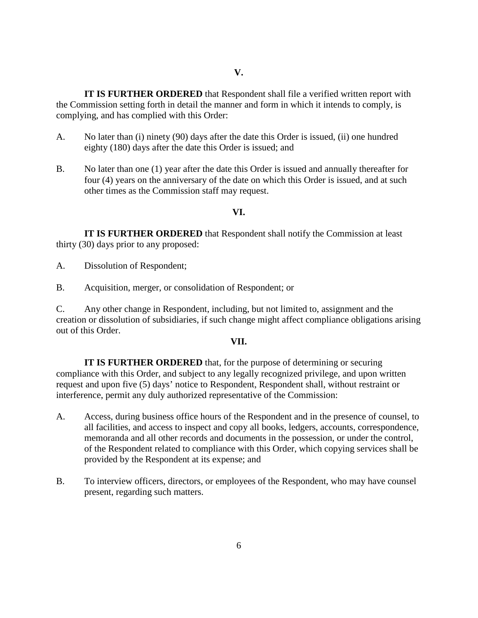**IT IS FURTHER ORDERED** that Respondent shall file a verified written report with the Commission setting forth in detail the manner and form in which it intends to comply, is complying, and has complied with this Order:

- A. No later than (i) ninety (90) days after the date this Order is issued, (ii) one hundred eighty (180) days after the date this Order is issued; and
- B. No later than one (1) year after the date this Order is issued and annually thereafter for four (4) years on the anniversary of the date on which this Order is issued, and at such other times as the Commission staff may request.

#### **VI.**

**IT IS FURTHER ORDERED** that Respondent shall notify the Commission at least thirty (30) days prior to any proposed:

A. Dissolution of Respondent;

B. Acquisition, merger, or consolidation of Respondent; or

C. Any other change in Respondent, including, but not limited to, assignment and the creation or dissolution of subsidiaries, if such change might affect compliance obligations arising out of this Order.

#### **VII.**

**IT IS FURTHER ORDERED** that, for the purpose of determining or securing compliance with this Order, and subject to any legally recognized privilege, and upon written request and upon five (5) days' notice to Respondent, Respondent shall, without restraint or interference, permit any duly authorized representative of the Commission:

- A. Access, during business office hours of the Respondent and in the presence of counsel, to all facilities, and access to inspect and copy all books, ledgers, accounts, correspondence, memoranda and all other records and documents in the possession, or under the control, of the Respondent related to compliance with this Order, which copying services shall be provided by the Respondent at its expense; and
- B. To interview officers, directors, or employees of the Respondent, who may have counsel present, regarding such matters.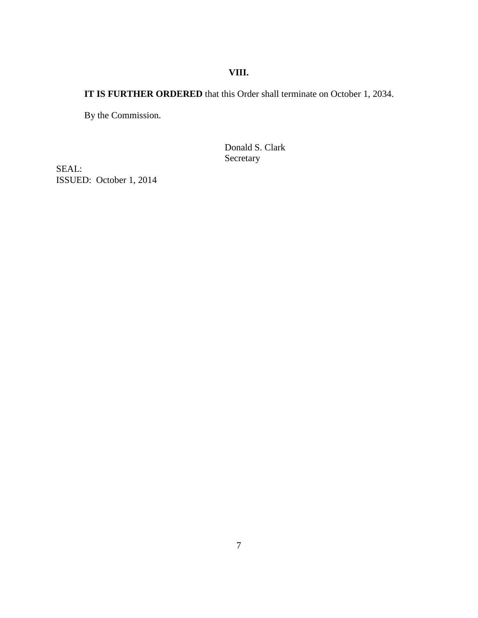# **VIII.**

# **IT IS FURTHER ORDERED** that this Order shall terminate on October 1, 2034.

By the Commission.

Donald S. Clark Secretary

SEAL: ISSUED: October 1, 2014